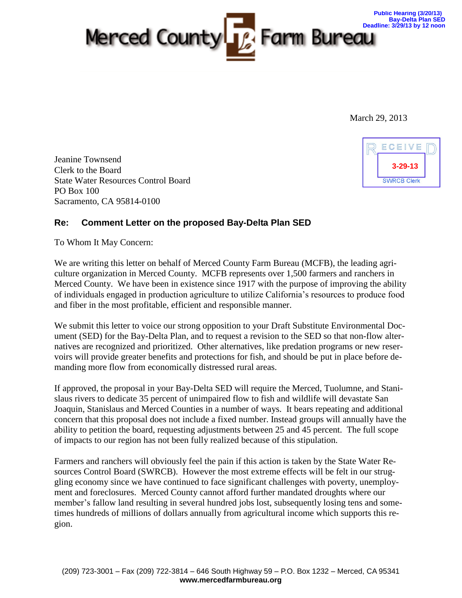

March 29, 2013

Jeanine Townsend Clerk to the Board State Water Resources Control Board PO Box 100 Sacramento, CA 95814-0100



## **Re: Comment Letter on the proposed Bay-Delta Plan SED**

To Whom It May Concern:

We are writing this letter on behalf of Merced County Farm Bureau (MCFB), the leading agriculture organization in Merced County. MCFB represents over 1,500 farmers and ranchers in Merced County. We have been in existence since 1917 with the purpose of improving the ability of individuals engaged in production agriculture to utilize California's resources to produce food and fiber in the most profitable, efficient and responsible manner.

We submit this letter to voice our strong opposition to your Draft Substitute Environmental Document (SED) for the Bay-Delta Plan, and to request a revision to the SED so that non-flow alternatives are recognized and prioritized. Other alternatives, like predation programs or new reservoirs will provide greater benefits and protections for fish, and should be put in place before demanding more flow from economically distressed rural areas.

If approved, the proposal in your Bay-Delta SED will require the Merced, Tuolumne, and Stanislaus rivers to dedicate 35 percent of unimpaired flow to fish and wildlife will devastate San Joaquin, Stanislaus and Merced Counties in a number of ways. It bears repeating and additional concern that this proposal does not include a fixed number. Instead groups will annually have the ability to petition the board, requesting adjustments between 25 and 45 percent. The full scope of impacts to our region has not been fully realized because of this stipulation.

Farmers and ranchers will obviously feel the pain if this action is taken by the State Water Resources Control Board (SWRCB). However the most extreme effects will be felt in our struggling economy since we have continued to face significant challenges with poverty, unemployment and foreclosures. Merced County cannot afford further mandated droughts where our member's fallow land resulting in several hundred jobs lost, subsequently losing tens and sometimes hundreds of millions of dollars annually from agricultural income which supports this region.